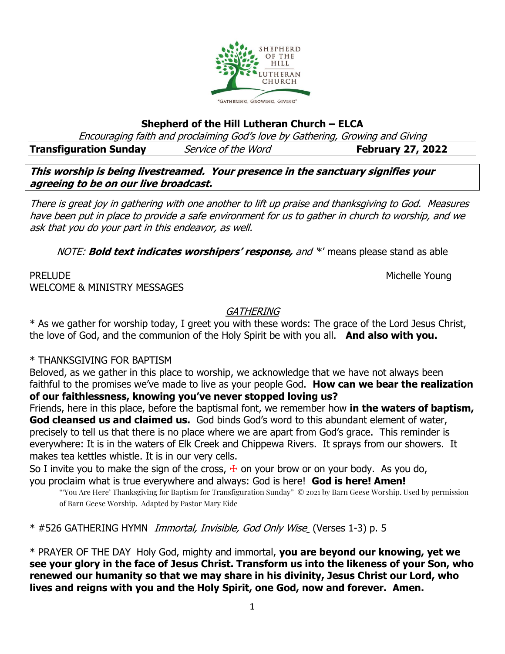

### **Shepherd of the Hill Lutheran Church – ELCA**

Encouraging faith and proclaiming God's love by Gathering, Growing and Giving

**Transfiguration Sunday** *Service of the Word* **February 27, 2022** 

**This worship is being livestreamed. Your presence in the sanctuary signifies your agreeing to be on our live broadcast.** 

There is great joy in gathering with one another to lift up praise and thanksgiving to God. Measures have been put in place to provide a safe environment for us to gather in church to worship, and we ask that you do your part in this endeavor, as well.

NOTE: **Bold text indicates worshipers' response,** and '\*' means please stand as able

# PRELUDE NOUNE ALL ACCESS AND ACCESS AND ACCESS AND ACCESS AND MICHELLE YOUNG WELCOME & MINISTRY MESSAGES

# **GATHERING**

\* As we gather for worship today, I greet you with these words: The grace of the Lord Jesus Christ, the love of God, and the communion of the Holy Spirit be with you all. **And also with you.**

## \* THANKSGIVING FOR BAPTISM

Beloved, as we gather in this place to worship, we acknowledge that we have not always been faithful to the promises we've made to live as your people God. **How can we bear the realization of our faithlessness, knowing you've never stopped loving us?**

Friends, here in this place, before the baptismal font, we remember how **in the waters of baptism, God cleansed us and claimed us.** God binds God's word to this abundant element of water, precisely to tell us that there is no place where we are apart from God's grace. This reminder is everywhere: It is in the waters of Elk Creek and Chippewa Rivers. It sprays from our showers. It makes tea kettles whistle. It is in our very cells.

So I invite you to make the sign of the cross,  $\pm$  on your brow or on your body. As you do, you proclaim what is true everywhere and always: God is here! **God is here! Amen!**

"'You Are Here' Thanksgiving for Baptism for Transfiguration Sunday" © 2021 by Barn Geese Worship. Used by permission of Barn Geese Worship. Adapted by Pastor Mary Eide

\* #526 GATHERING HYMN Immortal, Invisible, God Only Wise (Verses 1-3) p. 5

\* PRAYER OF THE DAYHoly God, mighty and immortal, **you are beyond our knowing, yet we see your glory in the face of Jesus Christ. Transform us into the likeness of your Son, who renewed our humanity so that we may share in his divinity, Jesus Christ our Lord, who lives and reigns with you and the Holy Spirit, one God, now and forever. Amen.**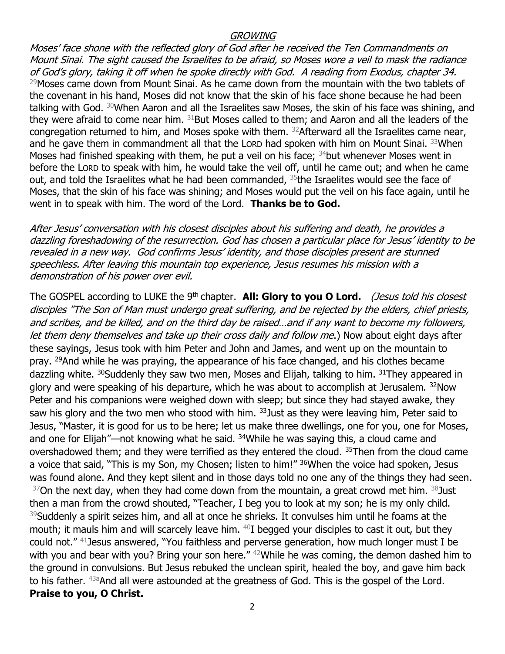#### **GROWING**

Moses' face shone with the reflected glory of God after he received the Ten Commandments on Mount Sinai. The sight caused the Israelites to be afraid, so Moses wore a veil to mask the radiance of God's glory, taking it off when he spoke directly with God. A reading from Exodus, chapter 34.  $29$ Moses came down from Mount Sinai. As he came down from the mountain with the two tablets of the covenant in his hand, Moses did not know that the skin of his face shone because he had been talking with God. <sup>30</sup>When Aaron and all the Israelites saw Moses, the skin of his face was shining, and they were afraid to come near him.  $31$ But Moses called to them; and Aaron and all the leaders of the congregation returned to him, and Moses spoke with them. <sup>32</sup>Afterward all the Israelites came near, and he gave them in commandment all that the Lorp had spoken with him on Mount Sinai. 33When Moses had finished speaking with them, he put a veil on his face; <sup>34</sup>but whenever Moses went in before the LORD to speak with him, he would take the veil off, until he came out; and when he came out, and told the Israelites what he had been commanded,  $35$  the Israelites would see the face of Moses, that the skin of his face was shining; and Moses would put the veil on his face again, until he went in to speak with him. The word of the Lord. **Thanks be to God.**

After Jesus' conversation with his closest disciples about his suffering and death, he provides <sup>a</sup> dazzling foreshadowing of the resurrection. God has chosen a particular place for Jesus' identity to be revealed in a new way. God confirms Jesus' identity, and those disciples present are stunned speechless. After leaving this mountain top experience, Jesus resumes his mission with a demonstration of his power over evil.

The GOSPEL according to LUKE the 9<sup>th</sup> chapter. **All: Glory to you O Lord.** (Jesus told his closest disciples "The Son of Man must undergo great suffering, and be rejected by the elders, chief priests, and scribes, and be killed, and on the third day be raised…and if any want to become my followers, let them deny themselves and take up their cross daily and follow me.) Now about eight days after these sayings, Jesus took with him Peter and John and James, and went up on the mountain to pray. <sup>29</sup>And while he was praying, the appearance of his face changed, and his clothes became dazzling white. <sup>30</sup>Suddenly they saw two men, Moses and Elijah, talking to him. <sup>31</sup>They appeared in glory and were speaking of his departure, which he was about to accomplish at Jerusalem. <sup>32</sup>Now Peter and his companions were weighed down with sleep; but since they had stayed awake, they saw his glory and the two men who stood with him. <sup>33</sup> Just as they were leaving him, Peter said to Jesus, "Master, it is good for us to be here; let us make three dwellings, one for you, one for Moses, and one for Elijah"—not knowing what he said. <sup>34</sup>While he was saying this, a cloud came and overshadowed them; and they were terrified as they entered the cloud. <sup>35</sup>Then from the cloud came a voice that said, "This is my Son, my Chosen; listen to him!" <sup>36</sup>When the voice had spoken, Jesus was found alone. And they kept silent and in those days told no one any of the things they had seen.  $37$ On the next day, when they had come down from the mountain, a great crowd met him.  $38$ Just then a man from the crowd shouted, "Teacher, I beg you to look at my son; he is my only child. <sup>39</sup>Suddenly a spirit seizes him, and all at once he shrieks. It convulses him until he foams at the mouth; it mauls him and will scarcely leave him. <sup>40</sup>I begged your disciples to cast it out, but they could not." <sup>41</sup>Jesus answered, "You faithless and perverse generation, how much longer must I be with you and bear with you? Bring your son here." <sup>42</sup>While he was coming, the demon dashed him to the ground in convulsions. But Jesus rebuked the unclean spirit, healed the boy, and gave him back to his father. <sup>43a</sup>And all were astounded at the greatness of God. This is the gospel of the Lord. **Praise to you, O Christ.**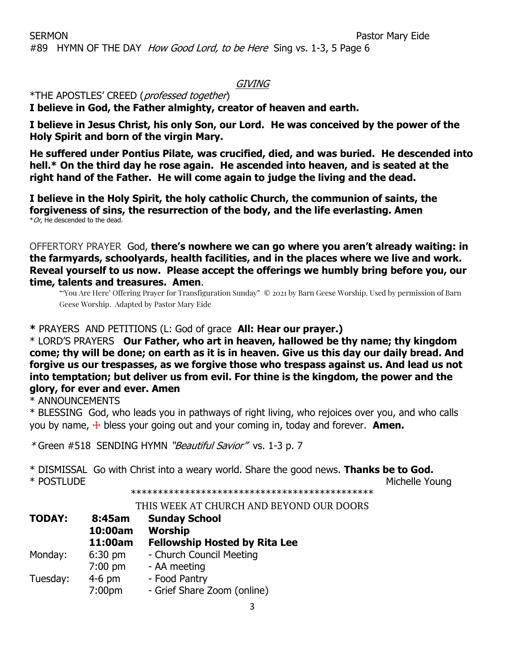### GIVING

# \*THE APOSTLES' CREED (professed together)

**I believe in God, the Father almighty, creator of heaven and earth.**

**I believe in Jesus Christ, his only Son, our Lord. He was conceived by the power of the Holy Spirit and born of the virgin Mary.**

**He suffered under Pontius Pilate, was crucified, died, and was buried. He descended into hell.\* On the third day he rose again. He ascended into heaven, and is seated at the right hand of the Father. He will come again to judge the living and the dead.**

**I believe in the Holy Spirit, the holy catholic Church, the communion of saints, the forgiveness of sins, the resurrection of the body, and the life everlasting. Amen**  $*$ Or, He descended to the dead.

OFFERTORY PRAYER God, **there's nowhere we can go where you aren't already waiting: in the farmyards, schoolyards, health facilities, and in the places where we live and work. Reveal yourself to us now. Please accept the offerings we humbly bring before you, our time, talents and treasures. Amen**.

"'You Are Here' Offering Prayer for Transfiguration Sunday" © 2021 by Barn Geese Worship. Used by permission of Barn Geese Worship. Adapted by Pastor Mary Eide

#### **\*** PRAYERS AND PETITIONS (L: God of grace **All: Hear our prayer.)**

\* LORD'S PRAYERS **Our Father, who art in heaven, hallowed be thy name; thy kingdom come; thy will be done; on earth as it is in heaven. Give us this day our daily bread. And forgive us our trespasses, as we forgive those who trespass against us. And lead us not into temptation; but deliver us from evil. For thine is the kingdom, the power and the glory, for ever and ever. Amen**

\* ANNOUNCEMENTS

\* BLESSING God, who leads you in pathways of right living, who rejoices over you, and who calls you by name, ☩ bless your going out and your coming in, today and forever. **Amen.**

\* Green #518SENDING HYMN "Beautiful Savior" vs. 1-3 p. 7

\* DISMISSAL Go with Christ into a weary world. Share the good news. **Thanks be to God.** \* POSTLUDE Michelle Young

\*\*\*\*\*\*\*\*\*\*\*\*\*\*\*\*\*\*\*\*\*\*\*\*\*\*\*\*\*\*\*\*\*\*\*\*\*\*\*\*\*\*\*\*\*

#### THIS WEEK AT CHURCH AND BEYOND OUR DOORS

| <b>TODAY:</b> | 8:45am<br>10:00am<br>11:00am | <b>Sunday School</b><br><b>Worship</b><br><b>Fellowship Hosted by Rita Lee</b> |
|---------------|------------------------------|--------------------------------------------------------------------------------|
| Monday:       | $6:30$ pm                    | - Church Council Meeting                                                       |
|               | $7:00$ pm                    | - AA meeting                                                                   |
| Tuesday:      | $4-6$ pm                     | - Food Pantry                                                                  |
|               | 7:00pm                       | - Grief Share Zoom (online)                                                    |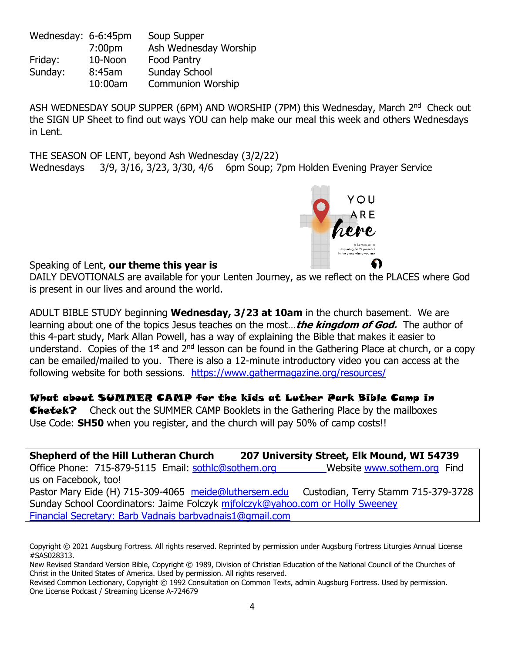Wednesday: 6-6:45pm Soup Supper 7:00pm Ash Wednesday Worship Friday: 10-Noon Food Pantry Sunday: 8:45am Sunday School 10:00am Communion Worship

ASH WEDNESDAY SOUP SUPPER (6PM) AND WORSHIP (7PM) this Wednesday, March 2<sup>nd</sup> Check out the SIGN UP Sheet to find out ways YOU can help make our meal this week and others Wednesdays in Lent.

THE SEASON OF LENT, beyond Ash Wednesday (3/2/22) Wednesdays 3/9, 3/16, 3/23, 3/30, 4/6 6pm Soup; 7pm Holden Evening Prayer Service



Speaking of Lent, **our theme this year is**

DAILY DEVOTIONALS are available for your Lenten Journey, as we reflect on the PLACES where God is present in our lives and around the world.

ADULT BIBLE STUDY beginning **Wednesday, 3/23 at 10am** in the church basement. We are learning about one of the topics Jesus teaches on the most…**the kingdom of God.** The author of this 4-part study, Mark Allan Powell, has a way of explaining the Bible that makes it easier to understand. Copies of the 1<sup>st</sup> and 2<sup>nd</sup> lesson can be found in the Gathering Place at church, or a copy can be emailed/mailed to you. There is also a 12-minute introductory video you can access at the following website for both sessions. <https://www.gathermagazine.org/resources/>

## What about SUMMER CAMP for the kids at Luther Park Bible Camp in

**Chetek?** Check out the SUMMER CAMP Booklets in the Gathering Place by the mailboxes Use Code: **SH50** when you register, and the church will pay 50% of camp costs!!

**Shepherd of the Hill Lutheran Church 207 University Street, Elk Mound, WI 54739** Office Phone: 715-879-5115 Email: [sothlc@sothem.org](mailto:sothlc@sothem.org) Website [www.sothem.org](http://www.sothem.org/) Find us on Facebook, too! Pastor Mary Eide (H) 715-309-4065 [meide@luthersem.edu](mailto:meide@luthersem.edu) Custodian, Terry Stamm 715-379-3728 Sunday School Coordinators: Jaime Folczyk mifolczyk@yahoo.com or Holly Sweeney Financial Secretary: Barb Vadnais [barbvadnais1@gmail.com](mailto:barbvadnais1@gmail.com)

Copyright © 2021 Augsburg Fortress. All rights reserved. Reprinted by permission under Augsburg Fortress Liturgies Annual License #SAS028313.

New Revised Standard Version Bible, Copyright © 1989, Division of Christian Education of the National Council of the Churches of Christ in the United States of America. Used by permission. All rights reserved.

Revised Common Lectionary, Copyright © 1992 Consultation on Common Texts, admin Augsburg Fortress. Used by permission. One License Podcast / Streaming License A-724679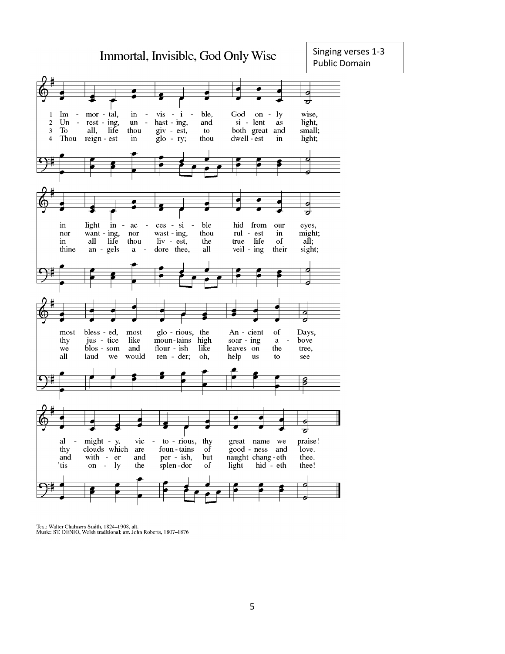

Text: Walter Chalmers Smith, 1824-1908, alt.<br>Music: ST. DENIO, Welsh traditional; arr. John Roberts, 1807-1876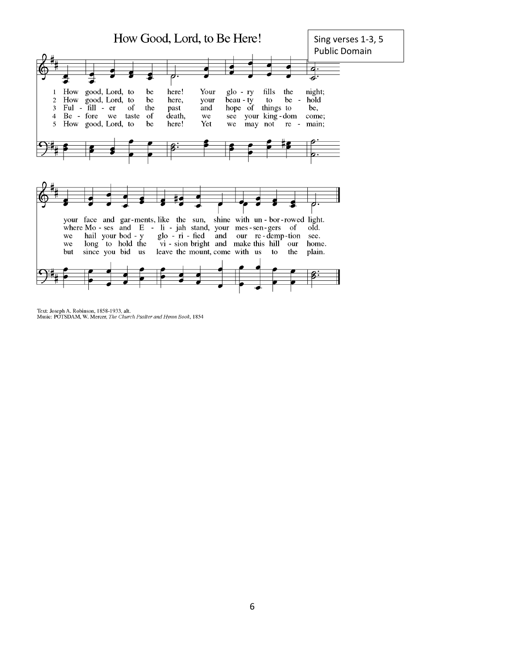

Text: Joseph A. Robinson, 1858-1933, alt.<br>Music: POTSDAM, W. Mercer, The Church Psalter and Hymn Book, 1854